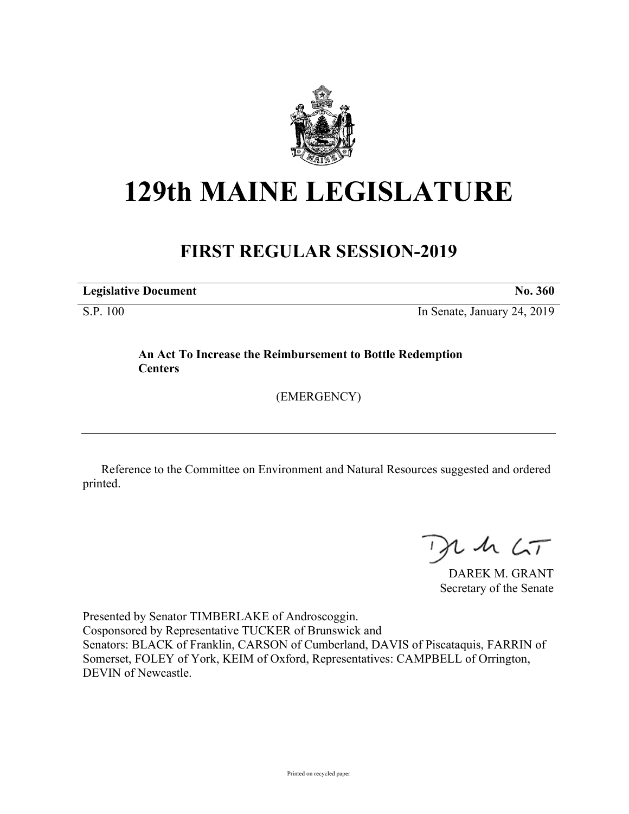

## **129th MAINE LEGISLATURE**

## **FIRST REGULAR SESSION-2019**

**Legislative Document No. 360**

S.P. 100 In Senate, January 24, 2019

**An Act To Increase the Reimbursement to Bottle Redemption Centers**

(EMERGENCY)

Reference to the Committee on Environment and Natural Resources suggested and ordered printed.

 $125$ 

DAREK M. GRANT Secretary of the Senate

Presented by Senator TIMBERLAKE of Androscoggin. Cosponsored by Representative TUCKER of Brunswick and Senators: BLACK of Franklin, CARSON of Cumberland, DAVIS of Piscataquis, FARRIN of Somerset, FOLEY of York, KEIM of Oxford, Representatives: CAMPBELL of Orrington, DEVIN of Newcastle.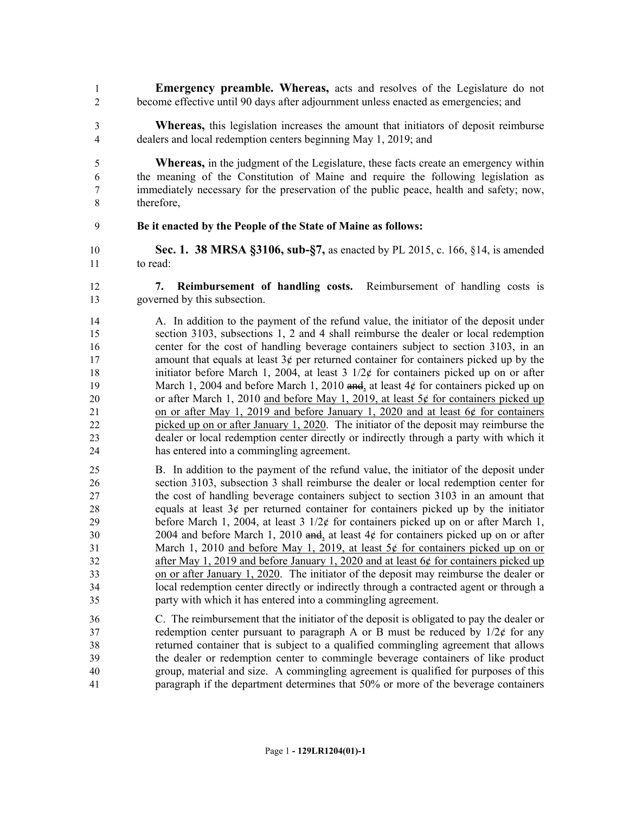- **Emergency preamble. Whereas,** acts and resolves of the Legislature do not become effective until 90 days after adjournment unless enacted as emergencies; and
- **Whereas,** this legislation increases the amount that initiators of deposit reimburse dealers and local redemption centers beginning May 1, 2019; and

 **Whereas,** in the judgment of the Legislature, these facts create an emergency within the meaning of the Constitution of Maine and require the following legislation as immediately necessary for the preservation of the public peace, health and safety; now, therefore,

- **Be it enacted by the People of the State of Maine as follows:**
- **Sec. 1. 38 MRSA §3106, sub-§7,** as enacted by PL 2015, c. 166, §14, is amended to read:
- **7. Reimbursement of handling costs.** Reimbursement of handling costs is governed by this subsection.
- A. In addition to the payment of the refund value, the initiator of the deposit under section 3103, subsections 1, 2 and 4 shall reimburse the dealer or local redemption center for the cost of handling beverage containers subject to section 3103, in an 17 amount that equals at least  $3¢$  per returned container for containers picked up by the 18 initiator before March 1, 2004, at least  $3 \frac{1}{2}$  for containers picked up on or after 19 March 1, 2004 and before March 1, 2010 and, at least 4¢ for containers picked up on 20 or after March 1, 2010 and before May 1, 2019, at least  $5¢$  for containers picked up on or after May 1, 2019 and before January 1, 2020 and at least 6¢ for containers picked up on or after January 1, 2020. The initiator of the deposit may reimburse the dealer or local redemption center directly or indirectly through a party with which it has entered into a commingling agreement.
- B. In addition to the payment of the refund value, the initiator of the deposit under section 3103, subsection 3 shall reimburse the dealer or local redemption center for the cost of handling beverage containers subject to section 3103 in an amount that 28 equals at least  $3¢$  per returned container for containers picked up by the initiator 29 before March 1, 2004, at least  $3 \frac{1}{2}$  for containers picked up on or after March 1, 30 2004 and before March 1, 2010 and, at least  $4¢$  for containers picked up on or after March 1, 2010 and before May 1, 2019, at least 5¢ for containers picked up on or after May 1, 2019 and before January 1, 2020 and at least 6¢ for containers picked up on or after January 1, 2020. The initiator of the deposit may reimburse the dealer or local redemption center directly or indirectly through a contracted agent or through a party with which it has entered into a commingling agreement.
- C. The reimbursement that the initiator of the deposit is obligated to pay the dealer or 37 redemption center pursuant to paragraph A or B must be reduced by  $1/2\epsilon$  for any returned container that is subject to a qualified commingling agreement that allows the dealer or redemption center to commingle beverage containers of like product group, material and size. A commingling agreement is qualified for purposes of this paragraph if the department determines that 50% or more of the beverage containers